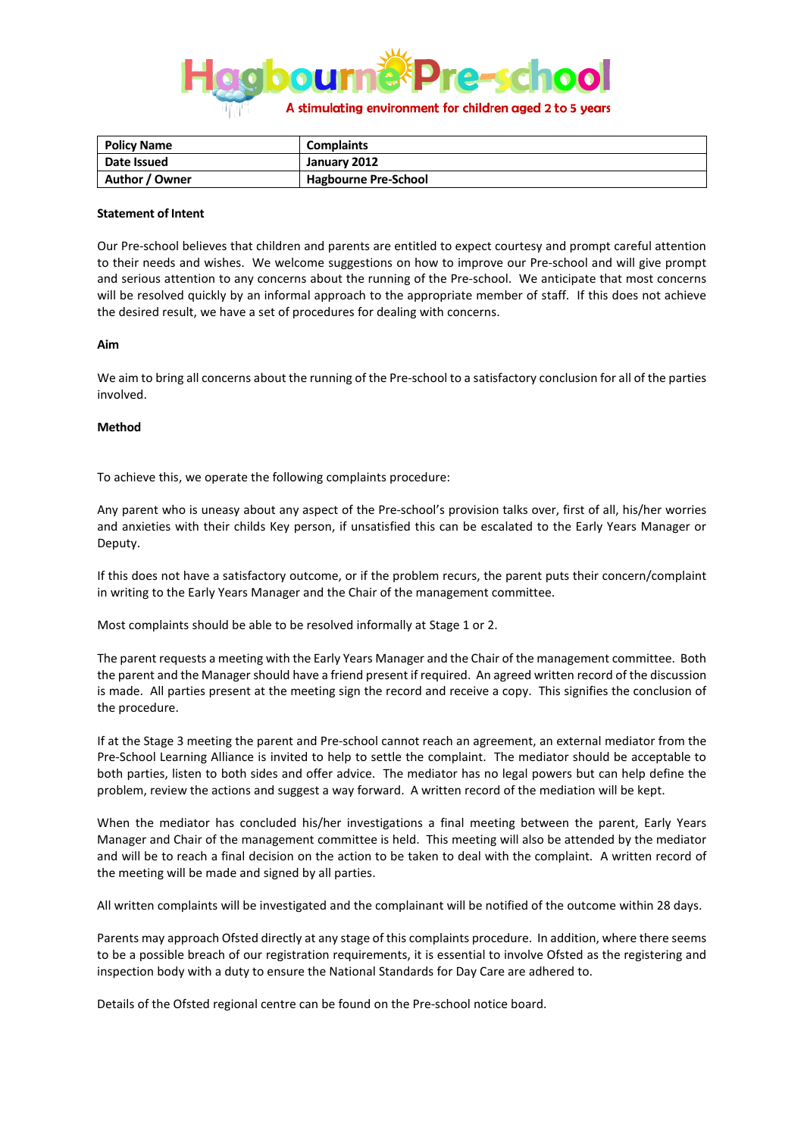

| <b>Policy Name</b> | <b>Complaints</b>           |
|--------------------|-----------------------------|
| Date Issued        | January 2012                |
| Author / Owner     | <b>Hagbourne Pre-School</b> |

## **Statement of Intent**

Our Pre-school believes that children and parents are entitled to expect courtesy and prompt careful attention to their needs and wishes. We welcome suggestions on how to improve our Pre-school and will give prompt and serious attention to any concerns about the running of the Pre-school. We anticipate that most concerns will be resolved quickly by an informal approach to the appropriate member of staff. If this does not achieve the desired result, we have a set of procedures for dealing with concerns.

## **Aim**

We aim to bring all concerns about the running of the Pre-school to a satisfactory conclusion for all of the parties involved.

## **Method**

To achieve this, we operate the following complaints procedure:

Any parent who is uneasy about any aspect of the Pre-school's provision talks over, first of all, his/her worries and anxieties with their childs Key person, if unsatisfied this can be escalated to the Early Years Manager or Deputy.

If this does not have a satisfactory outcome, or if the problem recurs, the parent puts their concern/complaint in writing to the Early Years Manager and the Chair of the management committee.

Most complaints should be able to be resolved informally at Stage 1 or 2.

The parent requests a meeting with the Early Years Manager and the Chair of the management committee. Both the parent and the Manager should have a friend present if required. An agreed written record of the discussion is made. All parties present at the meeting sign the record and receive a copy. This signifies the conclusion of the procedure.

If at the Stage 3 meeting the parent and Pre-school cannot reach an agreement, an external mediator from the Pre-School Learning Alliance is invited to help to settle the complaint. The mediator should be acceptable to both parties, listen to both sides and offer advice. The mediator has no legal powers but can help define the problem, review the actions and suggest a way forward. A written record of the mediation will be kept.

When the mediator has concluded his/her investigations a final meeting between the parent, Early Years Manager and Chair of the management committee is held. This meeting will also be attended by the mediator and will be to reach a final decision on the action to be taken to deal with the complaint. A written record of the meeting will be made and signed by all parties.

All written complaints will be investigated and the complainant will be notified of the outcome within 28 days.

Parents may approach Ofsted directly at any stage of this complaints procedure. In addition, where there seems to be a possible breach of our registration requirements, it is essential to involve Ofsted as the registering and inspection body with a duty to ensure the National Standards for Day Care are adhered to.

Details of the Ofsted regional centre can be found on the Pre-school notice board.